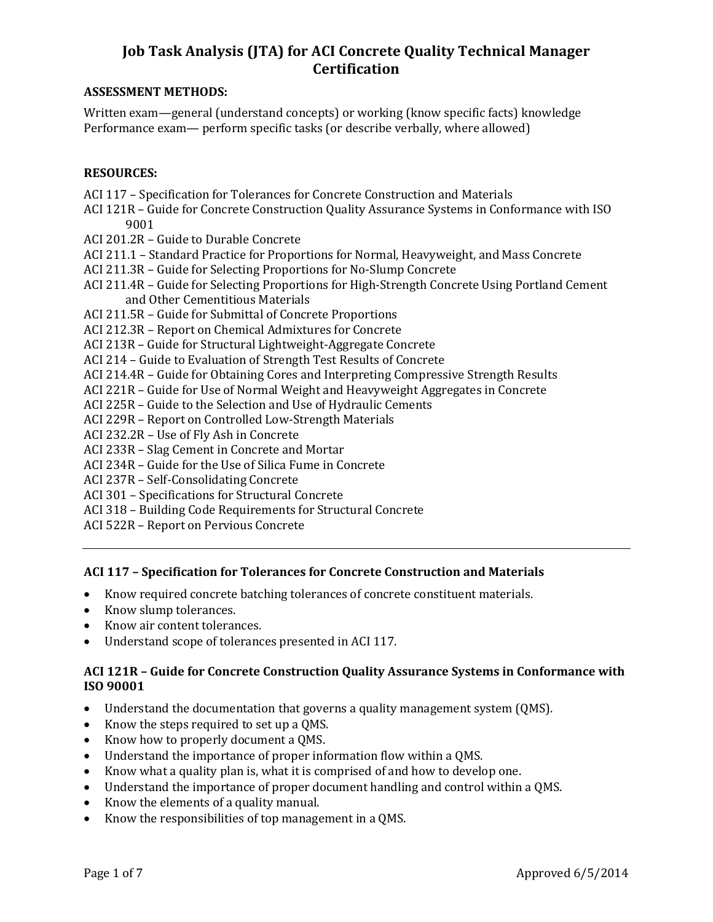#### **ASSESSMENT METHODS:**

Written exam—general (understand concepts) or working (know specific facts) knowledge Performance exam— perform specific tasks (or describe verbally, where allowed)

### **RESOURCES:**

- ACI 117 Specification for Tolerances for Concrete Construction and Materials
- ACI 121R Guide for Concrete Construction Quality Assurance Systems in Conformance with ISO 9001
- ACI 201.2R Guide to Durable Concrete
- ACI 211.1 Standard Practice for Proportions for Normal, Heavyweight, and Mass Concrete
- ACI 211.3R Guide for Selecting Proportions for No-Slump Concrete
- ACI 211.4R Guide for Selecting Proportions for High-Strength Concrete Using Portland Cement and Other Cementitious Materials
- ACI 211.5R Guide for Submittal of Concrete Proportions
- ACI 212.3R Report on Chemical Admixtures for Concrete
- ACI 213R Guide for Structural Lightweight-Aggregate Concrete
- ACI 214 Guide to Evaluation of Strength Test Results of Concrete
- ACI 214.4R Guide for Obtaining Cores and Interpreting Compressive Strength Results
- ACI 221R Guide for Use of Normal Weight and Heavyweight Aggregates in Concrete
- ACI 225R Guide to the Selection and Use of Hydraulic Cements
- ACI 229R Report on Controlled Low-Strength Materials
- ACI 232.2R Use of Fly Ash in Concrete
- ACI 233R Slag Cement in Concrete and Mortar
- ACI 234R Guide for the Use of Silica Fume in Concrete
- ACI 237R Self-Consolidating Concrete
- ACI 301 Specifications for Structural Concrete
- ACI 318 Building Code Requirements for Structural Concrete
- ACI 522R Report on Pervious Concrete

## **ACI 117 – Specification for Tolerances for Concrete Construction and Materials**

- Know required concrete batching tolerances of concrete constituent materials.
- Know slump tolerances.
- Know air content tolerances.
- Understand scope of tolerances presented in ACI 117.

#### **ACI 121R – Guide for Concrete Construction Quality Assurance Systems in Conformance with ISO 90001**

- Understand the documentation that governs a quality management system (QMS).
- Know the steps required to set up a QMS.
- Know how to properly document a OMS.
- Understand the importance of proper information flow within a QMS.
- Know what a quality plan is, what it is comprised of and how to develop one.
- Understand the importance of proper document handling and control within a QMS.
- Know the elements of a quality manual.
- Know the responsibilities of top management in a QMS.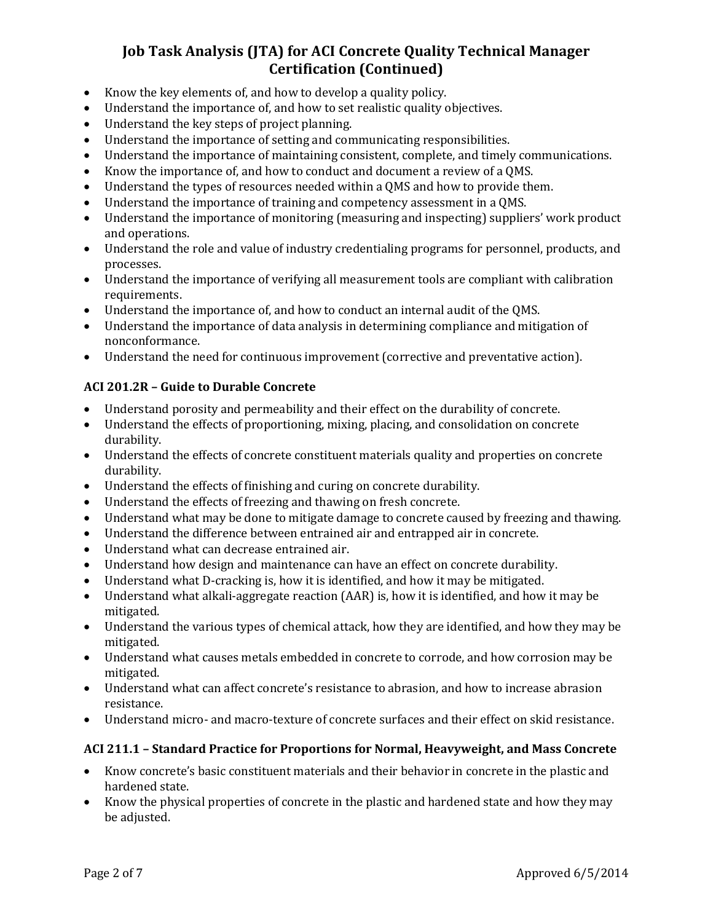- Know the key elements of, and how to develop a quality policy.
- Understand the importance of, and how to set realistic quality objectives.
- Understand the key steps of project planning.
- Understand the importance of setting and communicating responsibilities.
- Understand the importance of maintaining consistent, complete, and timely communications.
- Know the importance of, and how to conduct and document a review of a QMS.
- Understand the types of resources needed within a QMS and how to provide them.
- Understand the importance of training and competency assessment in a QMS.
- Understand the importance of monitoring (measuring and inspecting) suppliers' work product and operations.
- Understand the role and value of industry credentialing programs for personnel, products, and processes.
- Understand the importance of verifying all measurement tools are compliant with calibration requirements.
- Understand the importance of, and how to conduct an internal audit of the QMS.
- Understand the importance of data analysis in determining compliance and mitigation of nonconformance.
- Understand the need for continuous improvement (corrective and preventative action).

## **ACI 201.2R – Guide to Durable Concrete**

- Understand porosity and permeability and their effect on the durability of concrete.
- Understand the effects of proportioning, mixing, placing, and consolidation on concrete durability.
- Understand the effects of concrete constituent materials quality and properties on concrete durability.
- Understand the effects of finishing and curing on concrete durability.
- Understand the effects of freezing and thawing on fresh concrete.
- Understand what may be done to mitigate damage to concrete caused by freezing and thawing.
- Understand the difference between entrained air and entrapped air in concrete.
- Understand what can decrease entrained air.
- Understand how design and maintenance can have an effect on concrete durability.
- Understand what D-cracking is, how it is identified, and how it may be mitigated.
- Understand what alkali-aggregate reaction (AAR) is, how it is identified, and how it may be mitigated.
- Understand the various types of chemical attack, how they are identified, and how they may be mitigated.
- Understand what causes metals embedded in concrete to corrode, and how corrosion may be mitigated.
- Understand what can affect concrete's resistance to abrasion, and how to increase abrasion resistance.
- Understand micro- and macro-texture of concrete surfaces and their effect on skid resistance.

## **ACI 211.1 – Standard Practice for Proportions for Normal, Heavyweight, and Mass Concrete**

- Know concrete's basic constituent materials and their behavior in concrete in the plastic and hardened state.
- Know the physical properties of concrete in the plastic and hardened state and how they may be adjusted.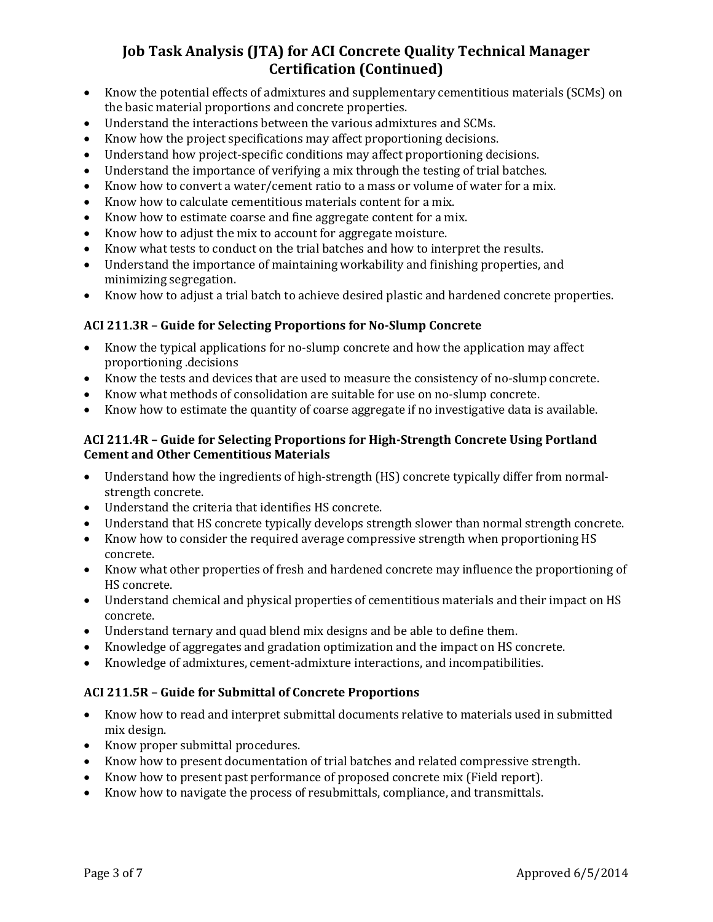- Know the potential effects of admixtures and supplementary cementitious materials (SCMs) on the basic material proportions and concrete properties.
- Understand the interactions between the various admixtures and SCMs.
- Know how the project specifications may affect proportioning decisions.
- Understand how project-specific conditions may affect proportioning decisions.
- Understand the importance of verifying a mix through the testing of trial batches.
- Know how to convert a water/cement ratio to a mass or volume of water for a mix.
- Know how to calculate cementitious materials content for a mix.
- Know how to estimate coarse and fine aggregate content for a mix.
- Know how to adjust the mix to account for aggregate moisture.
- Know what tests to conduct on the trial batches and how to interpret the results.
- Understand the importance of maintaining workability and finishing properties, and minimizing segregation.
- Know how to adjust a trial batch to achieve desired plastic and hardened concrete properties.

## **ACI 211.3R – Guide for Selecting Proportions for No-Slump Concrete**

- Know the typical applications for no-slump concrete and how the application may affect proportioning .decisions
- Know the tests and devices that are used to measure the consistency of no-slump concrete.
- Know what methods of consolidation are suitable for use on no-slump concrete.
- Know how to estimate the quantity of coarse aggregate if no investigative data is available.

## **ACI 211.4R – Guide for Selecting Proportions for High-Strength Concrete Using Portland Cement and Other Cementitious Materials**

- Understand how the ingredients of high-strength (HS) concrete typically differ from normalstrength concrete.
- Understand the criteria that identifies HS concrete.
- Understand that HS concrete typically develops strength slower than normal strength concrete.
- Know how to consider the required average compressive strength when proportioning HS concrete.
- Know what other properties of fresh and hardened concrete may influence the proportioning of HS concrete.
- Understand chemical and physical properties of cementitious materials and their impact on HS concrete.
- Understand ternary and quad blend mix designs and be able to define them.
- Knowledge of aggregates and gradation optimization and the impact on HS concrete.
- Knowledge of admixtures, cement-admixture interactions, and incompatibilities.

## **ACI 211.5R – Guide for Submittal of Concrete Proportions**

- Know how to read and interpret submittal documents relative to materials used in submitted mix design.
- Know proper submittal procedures.
- Know how to present documentation of trial batches and related compressive strength.
- Know how to present past performance of proposed concrete mix (Field report).
- Know how to navigate the process of resubmittals, compliance, and transmittals.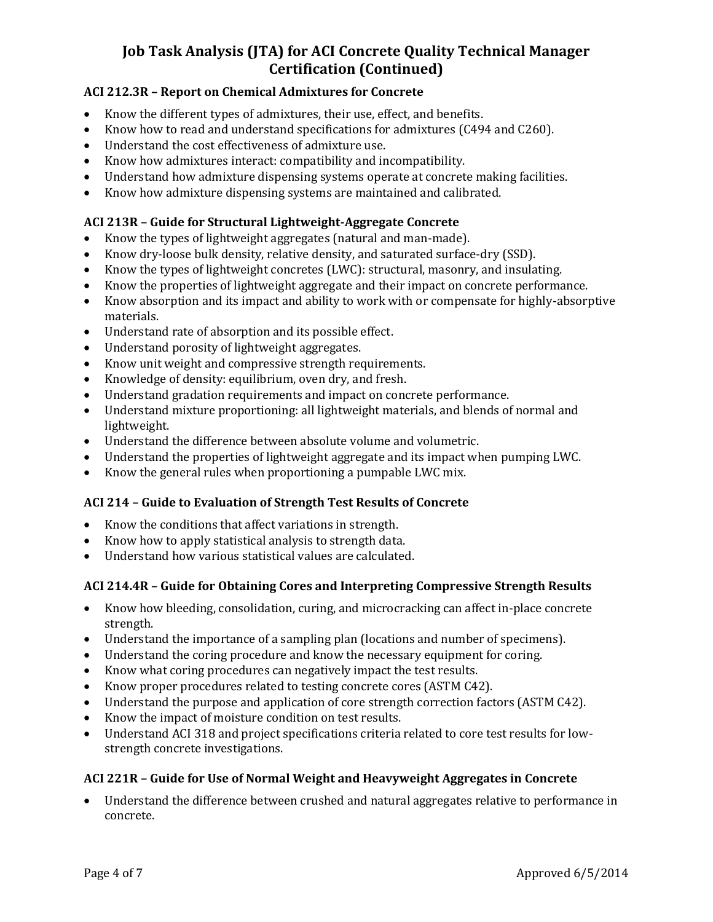## **ACI 212.3R – Report on Chemical Admixtures for Concrete**

- Know the different types of admixtures, their use, effect, and benefits.
- Know how to read and understand specifications for admixtures (C494 and C260).
- Understand the cost effectiveness of admixture use.
- Know how admixtures interact: compatibility and incompatibility.
- Understand how admixture dispensing systems operate at concrete making facilities.
- Know how admixture dispensing systems are maintained and calibrated.

## **ACI 213R – Guide for Structural Lightweight-Aggregate Concrete**

- Know the types of lightweight aggregates (natural and man-made).
- Know dry-loose bulk density, relative density, and saturated surface-dry (SSD).
- Know the types of lightweight concretes (LWC): structural, masonry, and insulating.
- Know the properties of lightweight aggregate and their impact on concrete performance.
- Know absorption and its impact and ability to work with or compensate for highly-absorptive materials.
- Understand rate of absorption and its possible effect.
- Understand porosity of lightweight aggregates.
- Know unit weight and compressive strength requirements.
- Knowledge of density: equilibrium, oven dry, and fresh.
- Understand gradation requirements and impact on concrete performance.
- Understand mixture proportioning: all lightweight materials, and blends of normal and lightweight.
- Understand the difference between absolute volume and volumetric.
- Understand the properties of lightweight aggregate and its impact when pumping LWC.
- Know the general rules when proportioning a pumpable LWC mix.

## **ACI 214 – Guide to Evaluation of Strength Test Results of Concrete**

- Know the conditions that affect variations in strength.
- Know how to apply statistical analysis to strength data.
- Understand how various statistical values are calculated.

## **ACI 214.4R – Guide for Obtaining Cores and Interpreting Compressive Strength Results**

- Know how bleeding, consolidation, curing, and microcracking can affect in-place concrete strength.
- Understand the importance of a sampling plan (locations and number of specimens).
- Understand the coring procedure and know the necessary equipment for coring.
- Know what coring procedures can negatively impact the test results.
- Know proper procedures related to testing concrete cores (ASTM C42).
- Understand the purpose and application of core strength correction factors (ASTM C42).
- Know the impact of moisture condition on test results.
- Understand ACI 318 and project specifications criteria related to core test results for lowstrength concrete investigations.

## **ACI 221R – Guide for Use of Normal Weight and Heavyweight Aggregates in Concrete**

 Understand the difference between crushed and natural aggregates relative to performance in concrete.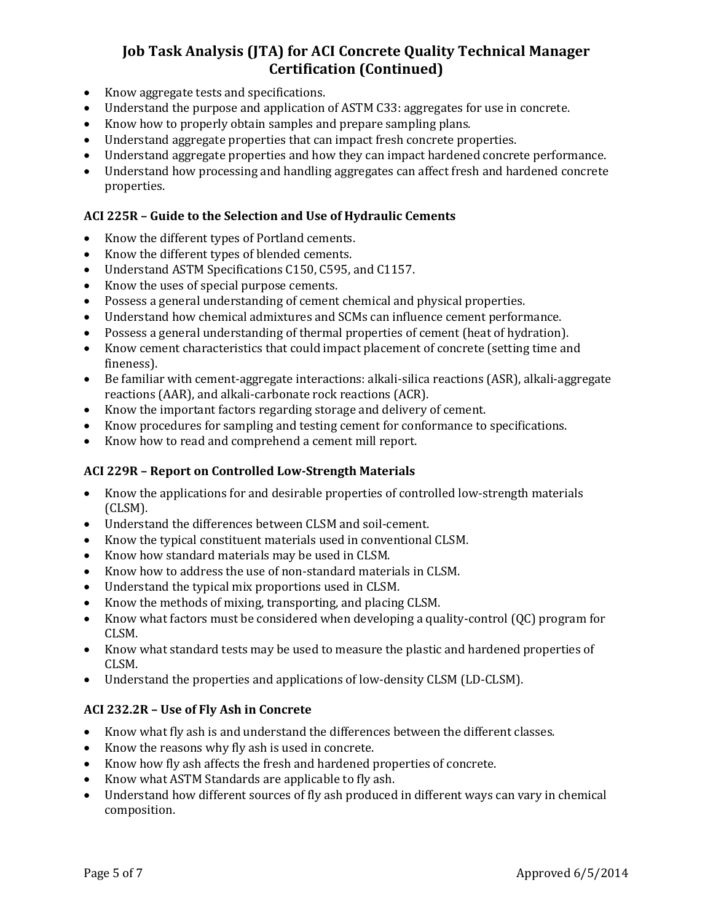- Know aggregate tests and specifications.
- Understand the purpose and application of ASTM C33: aggregates for use in concrete.
- Know how to properly obtain samples and prepare sampling plans.
- Understand aggregate properties that can impact fresh concrete properties.
- Understand aggregate properties and how they can impact hardened concrete performance.
- Understand how processing and handling aggregates can affect fresh and hardened concrete properties.

## **ACI 225R – Guide to the Selection and Use of Hydraulic Cements**

- Know the different types of Portland cements.
- Know the different types of blended cements.
- Understand ASTM Specifications C150, C595, and C1157.
- Know the uses of special purpose cements.
- Possess a general understanding of cement chemical and physical properties.
- Understand how chemical admixtures and SCMs can influence cement performance.
- Possess a general understanding of thermal properties of cement (heat of hydration).
- Know cement characteristics that could impact placement of concrete (setting time and fineness).
- Be familiar with cement-aggregate interactions: alkali-silica reactions (ASR), alkali-aggregate reactions (AAR), and alkali-carbonate rock reactions (ACR).
- Know the important factors regarding storage and delivery of cement.
- Know procedures for sampling and testing cement for conformance to specifications.
- Know how to read and comprehend a cement mill report.

## **ACI 229R – Report on Controlled Low-Strength Materials**

- Know the applications for and desirable properties of controlled low-strength materials (CLSM).
- Understand the differences between CLSM and soil-cement.
- Know the typical constituent materials used in conventional CLSM.
- Know how standard materials may be used in CLSM.
- Know how to address the use of non-standard materials in CLSM.
- Understand the typical mix proportions used in CLSM.
- Know the methods of mixing, transporting, and placing CLSM.
- Know what factors must be considered when developing a quality-control (QC) program for CLSM.
- Know what standard tests may be used to measure the plastic and hardened properties of CLSM.
- Understand the properties and applications of low-density CLSM (LD-CLSM).

#### **ACI 232.2R – Use of Fly Ash in Concrete**

- Know what fly ash is and understand the differences between the different classes.
- Know the reasons why fly ash is used in concrete.
- Know how fly ash affects the fresh and hardened properties of concrete.
- Know what ASTM Standards are applicable to fly ash.
- Understand how different sources of fly ash produced in different ways can vary in chemical composition.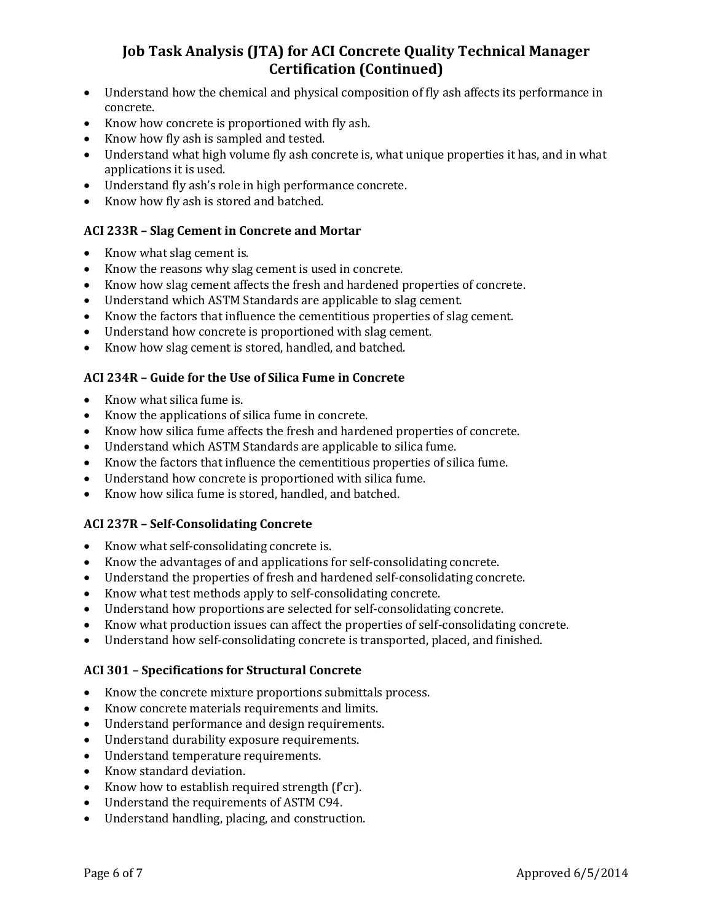- Understand how the chemical and physical composition of fly ash affects its performance in concrete.
- Know how concrete is proportioned with fly ash.
- Know how fly ash is sampled and tested.
- Understand what high volume fly ash concrete is, what unique properties it has, and in what applications it is used.
- Understand fly ash's role in high performance concrete.
- Know how fly ash is stored and batched.

## **ACI 233R – Slag Cement in Concrete and Mortar**

- Know what slag cement is.
- Know the reasons why slag cement is used in concrete.
- Know how slag cement affects the fresh and hardened properties of concrete.
- Understand which ASTM Standards are applicable to slag cement.
- Know the factors that influence the cementitious properties of slag cement.
- Understand how concrete is proportioned with slag cement.
- Know how slag cement is stored, handled, and batched.

## **ACI 234R – Guide for the Use of Silica Fume in Concrete**

- Know what silica fume is.
- Know the applications of silica fume in concrete.
- Know how silica fume affects the fresh and hardened properties of concrete.
- Understand which ASTM Standards are applicable to silica fume.
- Know the factors that influence the cementitious properties of silica fume.
- Understand how concrete is proportioned with silica fume.
- Know how silica fume is stored, handled, and batched.

## **ACI 237R – Self-Consolidating Concrete**

- Know what self-consolidating concrete is.
- Know the advantages of and applications for self-consolidating concrete.
- Understand the properties of fresh and hardened self-consolidating concrete.
- Know what test methods apply to self-consolidating concrete.
- Understand how proportions are selected for self-consolidating concrete.
- Know what production issues can affect the properties of self-consolidating concrete.
- Understand how self-consolidating concrete is transported, placed, and finished.

## **ACI 301 – Specifications for Structural Concrete**

- Know the concrete mixture proportions submittals process.
- Know concrete materials requirements and limits.
- Understand performance and design requirements.
- Understand durability exposure requirements.
- Understand temperature requirements.
- Know standard deviation.
- Know how to establish required strength (f'cr).
- Understand the requirements of ASTM C94.
- Understand handling, placing, and construction.